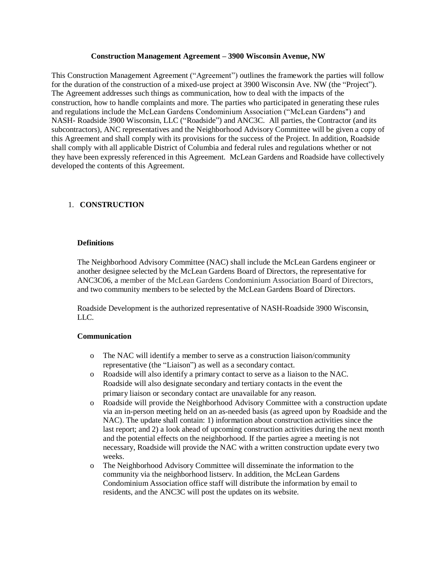#### **Construction Management Agreement – 3900 Wisconsin Avenue, NW**

This Construction Management Agreement ("Agreement") outlines the framework the parties will follow for the duration of the construction of a mixed-use project at 3900 Wisconsin Ave. NW (the "Project"). The Agreement addresses such things as communication, how to deal with the impacts of the construction, how to handle complaints and more. The parties who participated in generating these rules and regulations include the McLean Gardens Condominium Association ("McLean Gardens") and NASH- Roadside 3900 Wisconsin, LLC ("Roadside") and ANC3C. All parties, the Contractor (and its subcontractors), ANC representatives and the Neighborhood Advisory Committee will be given a copy of this Agreement and shall comply with its provisions for the success of the Project. In addition, Roadside shall comply with all applicable District of Columbia and federal rules and regulations whether or not they have been expressly referenced in this Agreement. McLean Gardens and Roadside have collectively developed the contents of this Agreement.

# 1. **CONSTRUCTION**

#### **Definitions**

The Neighborhood Advisory Committee (NAC) shall include the McLean Gardens engineer or another designee selected by the McLean Gardens Board of Directors, the representative for ANC3C06, a member of the McLean Gardens Condominium Association Board of Directors, and two community members to be selected by the McLean Gardens Board of Directors.

Roadside Development is the authorized representative of NASH-Roadside 3900 Wisconsin, LLC.

#### **Communication**

- o The NAC will identify a member to serve as a construction liaison/community representative (the "Liaison") as well as a secondary contact.
- o Roadside will also identify a primary contact to serve as a liaison to the NAC. Roadside will also designate secondary and tertiary contacts in the event the primary liaison or secondary contact are unavailable for any reason.
- o Roadside will provide the Neighborhood Advisory Committee with a construction update via an in-person meeting held on an as-needed basis (as agreed upon by Roadside and the NAC). The update shall contain: 1) information about construction activities since the last report; and 2) a look ahead of upcoming construction activities during the next month and the potential effects on the neighborhood. If the parties agree a meeting is not necessary, Roadside will provide the NAC with a written construction update every two weeks.
- o The Neighborhood Advisory Committee will disseminate the information to the community via the neighborhood listserv. In addition, the McLean Gardens Condominium Association office staff will distribute the information by email to residents, and the ANC3C will post the updates on its website.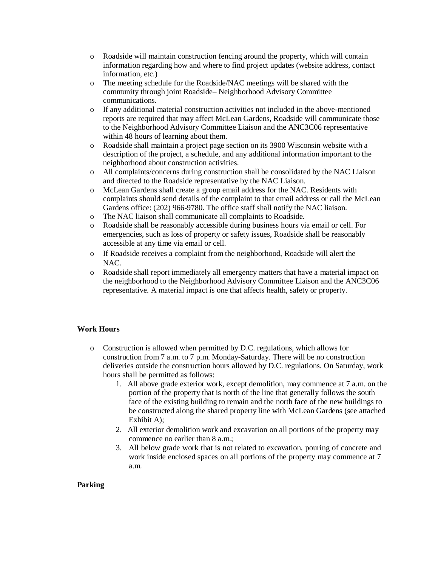- o Roadside will maintain construction fencing around the property, which will contain information regarding how and where to find project updates (website address, contact information, etc.)
- o The meeting schedule for the Roadside/NAC meetings will be shared with the community through joint Roadside– Neighborhood Advisory Committee communications.
- o If any additional material construction activities not included in the above-mentioned reports are required that may affect McLean Gardens, Roadside will communicate those to the Neighborhood Advisory Committee Liaison and the ANC3C06 representative within 48 hours of learning about them.
- o Roadside shall maintain a project page section on its 3900 Wisconsin website with a description of the project, a schedule, and any additional information important to the neighborhood about construction activities.
- o All complaints/concerns during construction shall be consolidated by the NAC Liaison and directed to the Roadside representative by the NAC Liaison.
- o McLean Gardens shall create a group email address for the NAC. Residents with complaints should send details of the complaint to that email address or call the McLean Gardens office: (202) 966-9780. The office staff shall notify the NAC liaison.
- o The NAC liaison shall communicate all complaints to Roadside.
- o Roadside shall be reasonably accessible during business hours via email or cell. For emergencies, such as loss of property or safety issues, Roadside shall be reasonably accessible at any time via email or cell.
- o If Roadside receives a complaint from the neighborhood, Roadside will alert the NAC.
- o Roadside shall report immediately all emergency matters that have a material impact on the neighborhood to the Neighborhood Advisory Committee Liaison and the ANC3C06 representative. A material impact is one that affects health, safety or property.

# **Work Hours**

- o Construction is allowed when permitted by D.C. regulations, which allows for construction from 7 a.m. to 7 p.m. Monday-Saturday. There will be no construction deliveries outside the construction hours allowed by D.C. regulations. On Saturday, work hours shall be permitted as follows:
	- 1. All above grade exterior work, except demolition, may commence at 7 a.m. on the portion of the property that is north of the line that generally follows the south face of the existing building to remain and the north face of the new buildings to be constructed along the shared property line with McLean Gardens (see attached Exhibit A);
	- 2. All exterior demolition work and excavation on all portions of the property may commence no earlier than 8 a.m.;
	- 3. All below grade work that is not related to excavation, pouring of concrete and work inside enclosed spaces on all portions of the property may commence at 7 a.m.

## **Parking**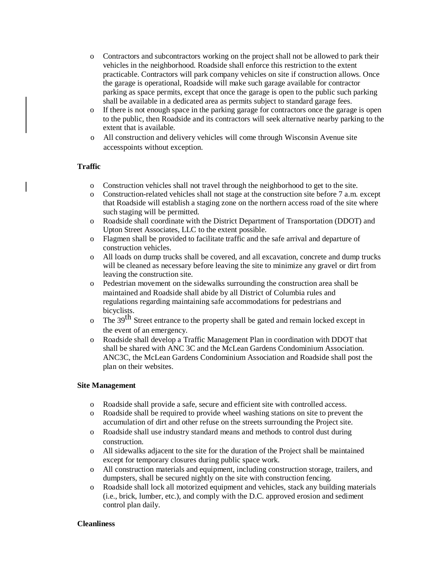- o Contractors and subcontractors working on the project shall not be allowed to park their vehicles in the neighborhood. Roadside shall enforce this restriction to the extent practicable. Contractors will park company vehicles on site if construction allows. Once the garage is operational, Roadside will make such garage available for contractor parking as space permits, except that once the garage is open to the public such parking shall be available in a dedicated area as permits subject to standard garage fees.
- o If there is not enough space in the parking garage for contractors once the garage is open to the public, then Roadside and its contractors will seek alternative nearby parking to the extent that is available.
- o All construction and delivery vehicles will come through Wisconsin Avenue site accesspoints without exception.

## **Traffic**

- o Construction vehicles shall not travel through the neighborhood to get to the site.
- o Construction-related vehicles shall not stage at the construction site before 7 a.m. except that Roadside will establish a staging zone on the northern access road of the site where such staging will be permitted.
- o Roadside shall coordinate with the District Department of Transportation (DDOT) and Upton Street Associates, LLC to the extent possible.
- o Flagmen shall be provided to facilitate traffic and the safe arrival and departure of construction vehicles.
- o All loads on dump trucks shall be covered, and all excavation, concrete and dump trucks will be cleaned as necessary before leaving the site to minimize any gravel or dirt from leaving the construction site.
- o Pedestrian movement on the sidewalks surrounding the construction area shall be maintained and Roadside shall abide by all District of Columbia rules and regulations regarding maintaining safe accommodations for pedestrians and bicyclists.
- $\overline{O}$  The 39<sup>th</sup> Street entrance to the property shall be gated and remain locked except in the event of an emergency.
- o Roadside shall develop a Traffic Management Plan in coordination with DDOT that shall be shared with ANC 3C and the McLean Gardens Condominium Association. ANC3C, the McLean Gardens Condominium Association and Roadside shall post the plan on their websites.

#### **Site Management**

- o Roadside shall provide a safe, secure and efficient site with controlled access.
- o Roadside shall be required to provide wheel washing stations on site to prevent the accumulation of dirt and other refuse on the streets surrounding the Project site.
- o Roadside shall use industry standard means and methods to control dust during construction.
- o All sidewalks adjacent to the site for the duration of the Project shall be maintained except for temporary closures during public space work.
- o All construction materials and equipment, including construction storage, trailers, and dumpsters, shall be secured nightly on the site with construction fencing.
- o Roadside shall lock all motorized equipment and vehicles, stack any building materials (i.e., brick, lumber, etc.), and comply with the D.C. approved erosion and sediment control plan daily.

#### **Cleanliness**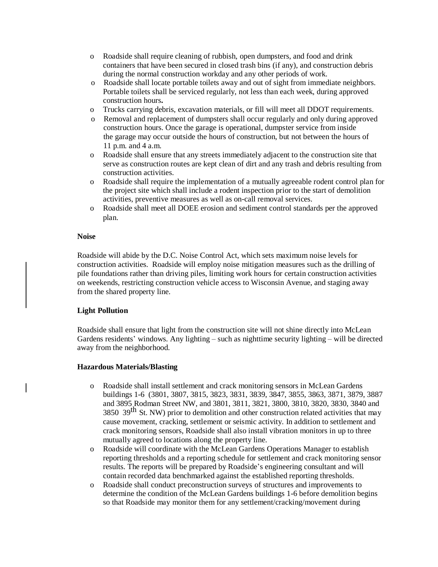- o Roadside shall require cleaning of rubbish, open dumpsters, and food and drink containers that have been secured in closed trash bins (if any), and construction debris during the normal construction workday and any other periods of work.
- o Roadside shall locate portable toilets away and out of sight from immediate neighbors. Portable toilets shall be serviced regularly, not less than each week, during approved construction hours**.**
- o Trucks carrying debris, excavation materials, or fill will meet all DDOT requirements.
- o Removal and replacement of dumpsters shall occur regularly and only during approved construction hours. Once the garage is operational, dumpster service from inside the garage may occur outside the hours of construction, but not between the hours of 11 p.m. and 4 a.m.
- o Roadside shall ensure that any streets immediately adjacent to the construction site that serve as construction routes are kept clean of dirt and any trash and debris resulting from construction activities.
- o Roadside shall require the implementation of a mutually agreeable rodent control plan for the project site which shall include a rodent inspection prior to the start of demolition activities, preventive measures as well as on-call removal services.
- o Roadside shall meet all DOEE erosion and sediment control standards per the approved plan.

## **Noise**

Roadside will abide by the D.C. Noise Control Act, which sets maximum noise levels for construction activities. Roadside will employ noise mitigation measures such as the drilling of pile foundations rather than driving piles, limiting work hours for certain construction activities on weekends, restricting construction vehicle access to Wisconsin Avenue, and staging away from the shared property line.

## **Light Pollution**

Roadside shall ensure that light from the construction site will not shine directly into McLean Gardens residents' windows. Any lighting – such as nighttime security lighting – will be directed away from the neighborhood.

## **Hazardous Materials/Blasting**

- o Roadside shall install settlement and crack monitoring sensors in McLean Gardens buildings 1-6 (3801, 3807, 3815, 3823, 3831, 3839, 3847, 3855, 3863, 3871, 3879, 3887 and 3895 Rodman Street NW, and 3801, 3811, 3821, 3800, 3810, 3820, 3830, 3840 and 3850 39<sup>th</sup> St. NW) prior to demolition and other construction related activities that may cause movement, cracking, settlement or seismic activity. In addition to settlement and crack monitoring sensors, Roadside shall also install vibration monitors in up to three mutually agreed to locations along the property line.
- o Roadside will coordinate with the McLean Gardens Operations Manager to establish reporting thresholds and a reporting schedule for settlement and crack monitoring sensor results. The reports will be prepared by Roadside's engineering consultant and will contain recorded data benchmarked against the established reporting thresholds.
- o Roadside shall conduct preconstruction surveys of structures and improvements to determine the condition of the McLean Gardens buildings 1-6 before demolition begins so that Roadside may monitor them for any settlement/cracking/movement during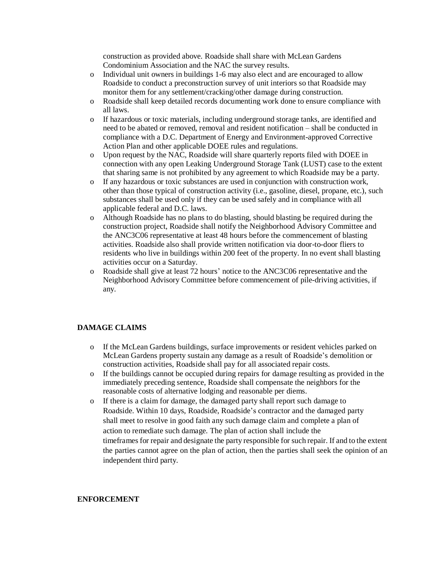construction as provided above. Roadside shall share with McLean Gardens Condominium Association and the NAC the survey results.

- o Individual unit owners in buildings 1-6 may also elect and are encouraged to allow Roadside to conduct a preconstruction survey of unit interiors so that Roadside may monitor them for any settlement/cracking/other damage during construction.
- o Roadside shall keep detailed records documenting work done to ensure compliance with all laws.
- o If hazardous or toxic materials, including underground storage tanks, are identified and need to be abated or removed, removal and resident notification – shall be conducted in compliance with a D.C. Department of Energy and Environment-approved Corrective Action Plan and other applicable DOEE rules and regulations.
- o Upon request by the NAC, Roadside will share quarterly reports filed with DOEE in connection with any open Leaking Underground Storage Tank (LUST) case to the extent that sharing same is not prohibited by any agreement to which Roadside may be a party.
- o If any hazardous or toxic substances are used in conjunction with construction work, other than those typical of construction activity (i.e., gasoline, diesel, propane, etc.), such substances shall be used only if they can be used safely and in compliance with all applicable federal and D.C. laws.
- o Although Roadside has no plans to do blasting, should blasting be required during the construction project, Roadside shall notify the Neighborhood Advisory Committee and the ANC3C06 representative at least 48 hours before the commencement of blasting activities. Roadside also shall provide written notification via door-to-door fliers to residents who live in buildings within 200 feet of the property. In no event shall blasting activities occur on a Saturday.
- o Roadside shall give at least 72 hours' notice to the ANC3C06 representative and the Neighborhood Advisory Committee before commencement of pile-driving activities, if any.

## **DAMAGE CLAIMS**

- o If the McLean Gardens buildings, surface improvements or resident vehicles parked on McLean Gardens property sustain any damage as a result of Roadside's demolition or construction activities, Roadside shall pay for all associated repair costs.
- o If the buildings cannot be occupied during repairs for damage resulting as provided in the immediately preceding sentence, Roadside shall compensate the neighbors for the reasonable costs of alternative lodging and reasonable per diems.
- o If there is a claim for damage, the damaged party shall report such damage to Roadside. Within 10 days, Roadside, Roadside's contractor and the damaged party shall meet to resolve in good faith any such damage claim and complete a plan of action to remediate such damage. The plan of action shall include the timeframes for repair and designate the party responsible for such repair. If and to the extent the parties cannot agree on the plan of action, then the parties shall seek the opinion of an independent third party.

#### **ENFORCEMENT**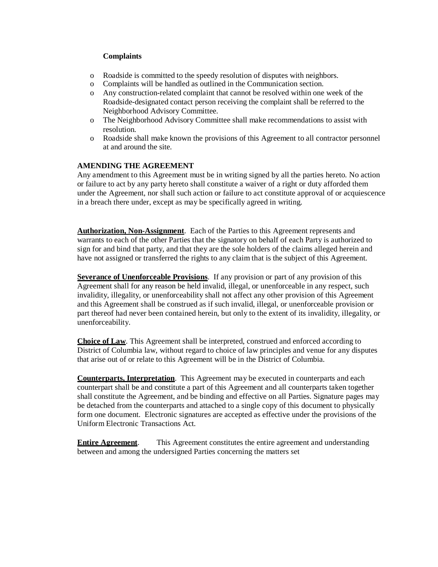## **Complaints**

- o Roadside is committed to the speedy resolution of disputes with neighbors.
- o Complaints will be handled as outlined in the Communication section.
- o Any construction-related complaint that cannot be resolved within one week of the Roadside-designated contact person receiving the complaint shall be referred to the Neighborhood Advisory Committee.
- o The Neighborhood Advisory Committee shall make recommendations to assist with resolution.
- o Roadside shall make known the provisions of this Agreement to all contractor personnel at and around the site.

## **AMENDING THE AGREEMENT**

Any amendment to this Agreement must be in writing signed by all the parties hereto. No action or failure to act by any party hereto shall constitute a waiver of a right or duty afforded them under the Agreement, nor shall such action or failure to act constitute approval of or acquiescence in a breach there under, except as may be specifically agreed in writing.

**Authorization, Non-Assignment**. Each of the Parties to this Agreement represents and warrants to each of the other Parties that the signatory on behalf of each Party is authorized to sign for and bind that party, and that they are the sole holders of the claims alleged herein and have not assigned or transferred the rights to any claim that is the subject of this Agreement.

**Severance of Unenforceable Provisions**. If any provision or part of any provision of this Agreement shall for any reason be held invalid, illegal, or unenforceable in any respect, such invalidity, illegality, or unenforceability shall not affect any other provision of this Agreement and this Agreement shall be construed as if such invalid, illegal, or unenforceable provision or part thereof had never been contained herein, but only to the extent of its invalidity, illegality, or unenforceability.

**Choice of Law**. This Agreement shall be interpreted, construed and enforced according to District of Columbia law, without regard to choice of law principles and venue for any disputes that arise out of or relate to this Agreement will be in the District of Columbia.

**Counterparts, Interpretation**. This Agreement may be executed in counterparts and each counterpart shall be and constitute a part of this Agreement and all counterparts taken together shall constitute the Agreement, and be binding and effective on all Parties. Signature pages may be detached from the counterparts and attached to a single copy of this document to physically form one document. Electronic signatures are accepted as effective under the provisions of the Uniform Electronic Transactions Act.

**Entire Agreement**. This Agreement constitutes the entire agreement and understanding between and among the undersigned Parties concerning the matters set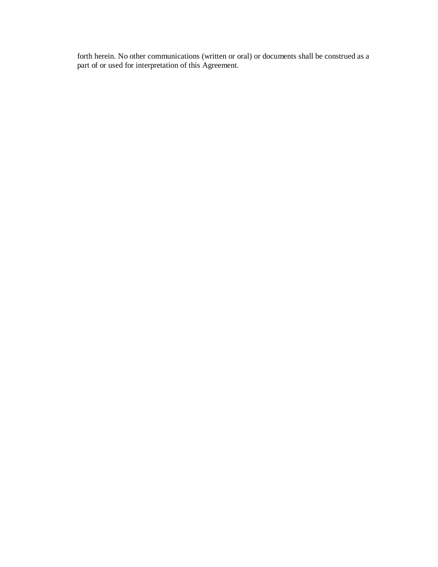forth herein. No other communications (written or oral) or documents shall be construed as a part of or used for interpretation of this Agreement.